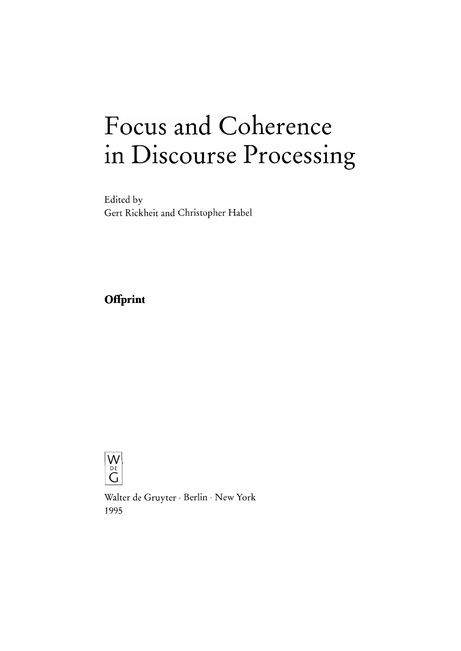# Focus and Coherence in Discourse Processing

Edited by Gert Rickheit and Christopher Habel

# Offprint



Walter de Gruyter · Berlin · New York 1995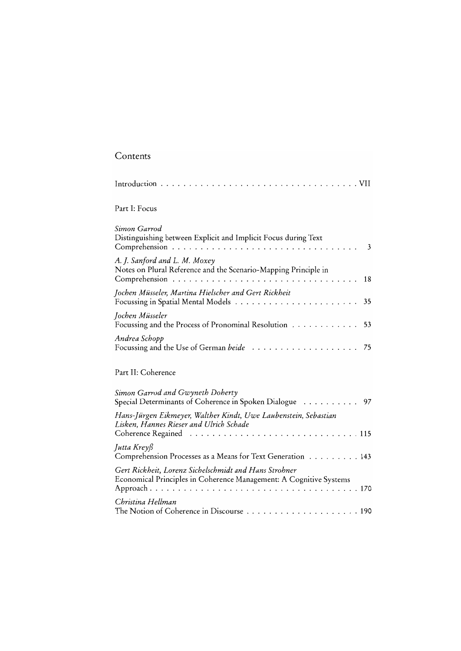| Contents                                                                                                                    |
|-----------------------------------------------------------------------------------------------------------------------------|
|                                                                                                                             |
| Part I: Focus                                                                                                               |
| Simon Garrod<br>Distinguishing between Explicit and Implicit Focus during Text<br>3                                         |
| A. J. Sanford and L. M. Moxey<br>Notes on Plural Reference and the Scenario-Mapping Principle in<br>18                      |
| Jochen Müsseler, Martina Hielscher and Gert Rickheit<br>35                                                                  |
| Jochen Müsseler<br>Focussing and the Process of Pronominal Resolution<br>53                                                 |
| Andrea Schopp<br>75                                                                                                         |
| Part II: Coherence                                                                                                          |
| Simon Garrod and Gwyneth Doherty<br>Special Determinants of Coherence in Spoken Dialogue 97                                 |
| Hans-Jürgen Eikmeyer, Walther Kindt, Uwe Laubenstein, Sebastian<br>Lisken, Hannes Rieser and Ulrich Schade                  |
| Jutta Kreyß<br>Comprehension Processes as a Means for Text Generation 143                                                   |
| Gert Rickheit, Lorenz Sichelschmidt and Hans Strohner<br>Economical Principles in Coherence Management: A Cognitive Systems |
| Christina Hellman                                                                                                           |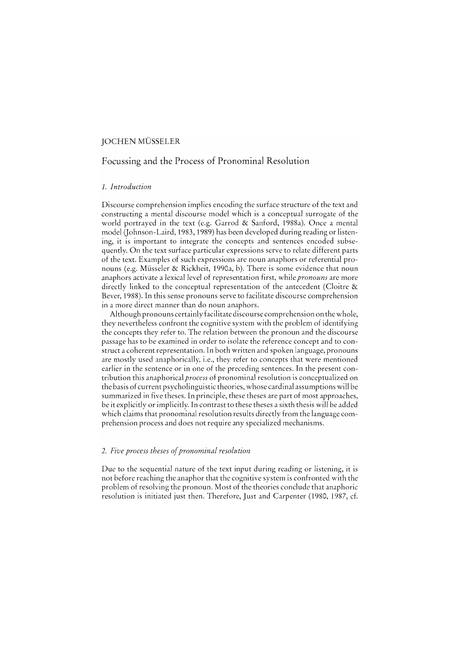#### JOCHEN MÜSSELER

## Focussing and the Process of Pronominal Resolution

#### *1.* 1 *ntroduction*

Discourse comprehension implies encoding the surface structure of the text and constructing amental discourse model which is a conceptual surrogate of the world portrayed in the text (e.g. Garrod & Sanford, 1988a). Once a mental model (Johnson-Laird, 1983, 1989) has been developed during reading or listening, it is important to integrate the concepts and sentences encoded subsequently. On the text surface particular expressions serve to relate different parts of the text. Examples of such expressions are noun anaphors or referential pronouns (e.g. Müsseler & Rickheit, 1990a, b). There is some evidence that noun anaphors activate a lexical level of representation first, while *pronouns* are more directly linked to the conceptual representation of the antecedent (Cloitre & Bever, 1988). In this sense pronouns serve to facilitate discourse comprehension in a more direct manner than do noun anaphors.

Although pronouns certainlyfacilitate discourse comprehension on thewhole, they nevertheless confront the cognitive system with the problem of identifying the concepts they refer to. The relation between the pronoun and the discourse passage has to be examined in order to isolate the reference concept and to construct a coherent representation. In both written and spoken language, pronouns are mostly used anaphorically, i.e., they refer to concepts that were mentioned earlier in the sentence or in one of the preceding sentences. In the present contribution this anaphorical *process* of pronominal resolution is conceptualized on the basis of current psycholinguistic theories, whose cardinal assumptions will be summarized in five theses. In principle, these theses are part of most approaches, be it explicitly or implicitly. In contrast to these theses a sixth thesis will be added which claims that pronominal resolution results directly from the language comprehension process and does not require any specialized mechanisms.

#### *2. Five process theses* o[ *pronominal resolution*

Duc to the sequential nature of the text input during reading or listening, it is not before reaching the anaphor that the cognitive system is confronted with the problem of resolving the pronoun. Most of the theories conclude that anaphoric resolution is initiated just then. Therefore, Just and Carpenter (1980, 1987, cf.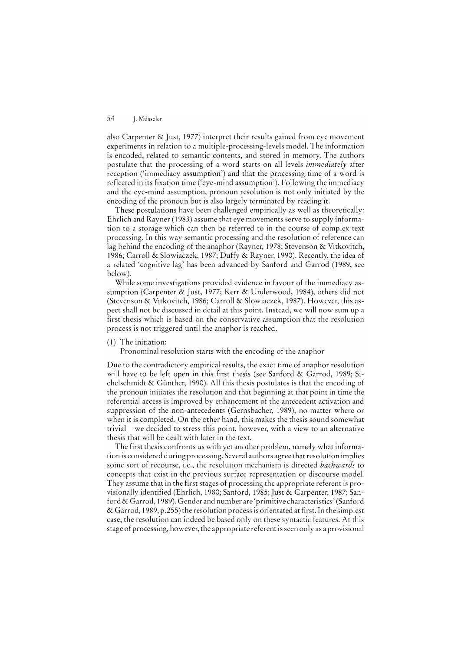also Carpenter & Just, 1977) interpret their results gained from eye movement experiments in relation to a multiple-processing-levels model. The information is encoded, related to semantic contents, and stored in memory. The authors postulate that the processing of a word starts on all levels *immediately* after reception ('immediacy assumption') and that the processing time of a word is reflected in its fixation time ('eye-mind assumption'). Following the immediacy and the eye-mind assumption, pronoun resolution is not only initiated by the encoding of the pronoun but is also largely terminated by reading it.

These postulations have been challenged empirically as weIl as theoretically: Ehrlich and Rayner (1983) assurne that eye movements serve to supply information to a storage which can then be referred to in the course of complex text processing. In this way semantic processing and the resolution of reference can lag behind the encoding of the anaphor (Rayner, 1978; Stevenson & Vitkovitch, 1986; Carroll & Slowiaczek, 1987; Duffy & Rayner, 1990). Recently, the idea of a related 'cognitive lag' has been advanced by Sanford and Garrod (1989, see below).

While some investigations provided evidence in favour of the immediacy assumption (Carpenter & Just, 1977; Kerr & Underwood, 1984), others did not (Stevenson & Vitkovitch, 1986; Carroll & Slowiaczek, 1987). However, this aspect shall not be discussed in detail at this point. Instead, we will now sum up a first thesis which is based on the conservative assumption that the resolution process is not triggered until the anaphor is reached.

#### (1) The initiation:

Pronominal resolution starts with the encoding of the anaphor

Due to the contradictory empirical results, the exact time of anaphor resolution will have to be left open in this first thesis (see Sanford & Garrod, 1989; Sichelschmidt & Günther, 1990). All this thesis postulates is that the encoding of the pronoun initiates the resolution and that beginning at that point in time the referential access is improved by enhancement of the antecedent activation and suppression of the non-antecedents (Gernsbacher, 1989), no matter where or when it is completed. On the other hand, this makes the thesis sound somcwhat trivial - we decided to stress this point, however, with a view to an alternative thesis that will be dealt with later in the text.

The first thesis confronts us with yet another problem, namely what information is considered during processing. Scveral authors agree that resolution implies some sort of recourse, i.e., the resolution mechanism is directed *backwards* to concepts that exist in the previous surface representation or discourse model. They assurne that in the first stages of processing the appropriate referent is provisionally identified (Ehrlich, 1980; Sanford, 1985; Just & Carpenter, 1987; Sanford & Garrod, 1989). Gender and number are 'primitive characteristics' (Sanford & Garrod, 1989, p.255) the resolution process is orientated at first. In the simplest case, the resolution can indeed be based only on these syntactic features. At this stage of processing, however, the appropriate referent is seen only as a provisional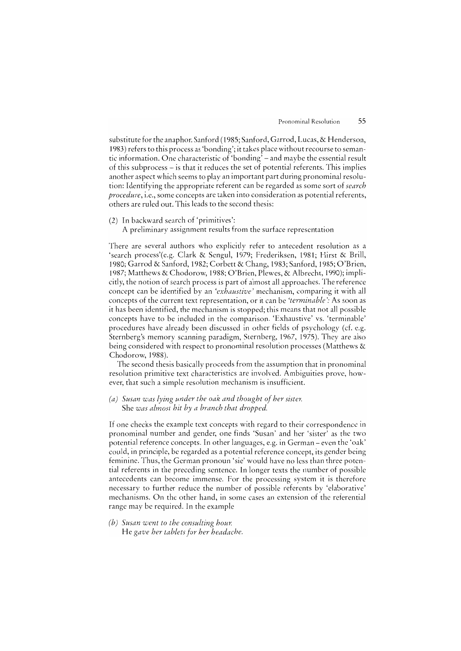substitute for the anaphor. Sanford (1985; Sanford, Garrod, Lucas, & Henderson, 1983) refers to this process as 'bonding'; it takes place without recourse to semantic information. One characteristic of 'bonding' – and maybe the essential result of this subprocess  $-$  is that it reduces the set of potential referents. This implies another aspect which seems to play an important part during pronominal resolution: Identifying the appropriate referent can be regarded as some sort of *search procedure*, *i.e.*, some concepts are taken into consideration as potential referents, others are ruled out. This leads to the second thesis:

- (2) In backward search of 'primitives':
	- A preliminary assignment results from the surface representation

There are several authors who explicitly refer to antecedent resolution as a 'search process'(e.g. Clark & Sengul, 1979; Frederiksen, 1981; Hirst & Brill, 1980; Garrod & Sanford, 1982; Corbett & Chang, 1983; Sanford, 1985; O'Brien, 1987; Matthews & Chodorow, 1988; O'Brien, Plewes, & Albrecht, 1990); implicitly, the notion of search process is part of almost all approaches. The reference concept can be identified by an *'exhaustive'* mechanism, comparing it with all concepts of the current text representation, or it can be *'terminable* ': As soon as it has been identified, the mechanism is stopped; this means that not all possible concepts have to be included in the comparison. 'Exhaustive' vs. 'terminable' procedures have already been discussed in other fields of psychology (cf. e.g. Sternberg's memory scanning paradigm, Sternberg, 1967, 1975). They are also being considered with respect to pronominal resolution processes (Matthews & Chodorow, 1988).

The second thesis basically proceeds from the assumption that in pronominal resolution primitive text characteristics are involved. Ambiguities prove, however, that such a simple resolution mechanism is insufficient.

#### *(a) Susan ·was lying under the oak and thought of her sister.*  She *was almost hit by a branch that dropped.*

If one checks the example text concepts with regard to their correspondence in pronominal number and gender, one finds 'Susan' and her 'sister' as the two potential reference concepts. In other languages, e.g. in German - even the 'oak' cauld, in principle, be regarded as a potential reference concept, its gender being feminine. Thus, the German pronoun 'sie' would have no less than three potential referents in the preceding sentence. In longer texts the number of possible anteccdents can become immense. For the processing system it is therefore necessary to further reduce the number of possible referents by 'elaborative' mechanisms. On the other hand, in some cases an extension of the referential range may be required. In the example

*(b) Susan went to consulting hour.*  He *gave her tablets for her headache.*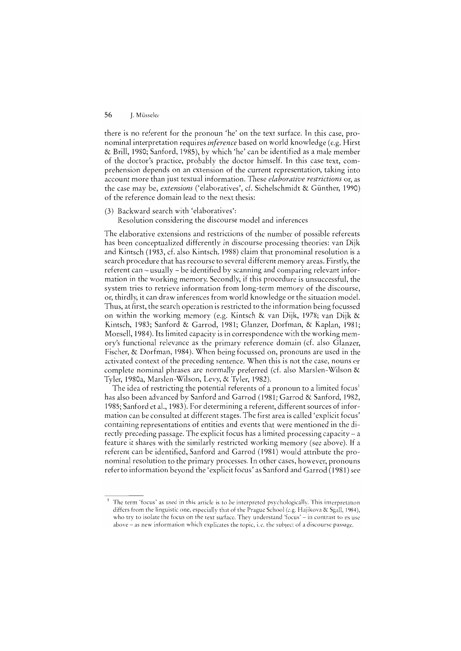there is no referent for the pronoun 'he' on the text surface. In this case, pronominal interpretation requires *inference* based on world knowledge (e.g. Hirst & BrilI, 1980; Sanford, 1985), by whieh 'he' ean be identified as a male member of the doetor's praetiee, probably the doetor himself. **In** this ease text, eomprehension depends on an extension of the eurrent representation, taking into account more than just textual information. These *elaborative restrictions* or, as the ease may be, *extensions* ('elaboratives', cf. Siehelsehmidt & Günther, 1990) of the referenee domain lead to the next thesis:

- (3) Backward seareh with 'elaboratives':
	- Resolution eonsidering the diseourse model and inferenees

The elaborative extensions and restrietions of the number of possible referents has been eoneeptualized differently in discourse processing theories: van Dijk and Kintsch (1983, cf. also Kintsch, 1988) claim that pronominal resolution is a seareh proeedure that has recourse to several different memory areas. Firstly, the referent ean - usually - be identified by scanning and comparing relevant information in the working memory. Secondly, if this procedure is unsuceessful, the system tries to retrieve information from long-term memory of the discourse, 01', thirdly, it can draw inferences frorn world knowledge or the situation model. Thus, at first, the seareh operation is restrieted to the information being focussed on within the working memory (e.g. Kintsch & van Dijk, 1978; van Dijk & Kintseh, 1983; Sanford & Garrod, 1981; Glanzer, Dorfman, & Kaplan, 1981; Monsell, 1984). Its limited capaeity is in correspondence with the working memory's functional relevance as the primary reference domain (cf. also Glanzer, Fischer, & Dorfman, 1984). When being focussed on, pronouns are used in the activated context of the preceding sentence. When this is not the case, nouns or complete nominal phrases are normally preferred (cf. also Marslen-Wilson & Tyler, 1980a, Marslen-Wilson, Levy, & TyIer, 1982).

The idea of restricting the potential referents of a pronoun to a limited focus<sup>1</sup> has also been advanced by Sanford and Garrod (1981; Garrod & Sanford, 1982, 1985; Sanford et al., 1983). For determining a referent, different sources of information can be consulted at different stages. The first area is called 'explicit focus' containing representations of entities and events that were mentioned in the directly preceding passage. The explicit focus has a limited processing capacity  $-$  a feature it shares with the similarly restricted working memory (see above). If a referent can be identified, Sanford and Garrod (1981) would attribute the pronominal resolution to the primary processes. In other cases, however, pronouns refer to information beyond the 'explieit focus' as Sanford and Garrod (1981) see

<sup>&</sup>lt;sup>1</sup> The term 'focus' as used in this article is to be interpreted psychologically. This interpretation differs from the linguistic one, especially that of the Prague School (e.g. Hajikova & Sgall, 1984), who try to isolate the focus on the text surface. They understand 'focus' - in contrast to its use above - as new information which explicates the topic, i.e. the subject of a discourse passage.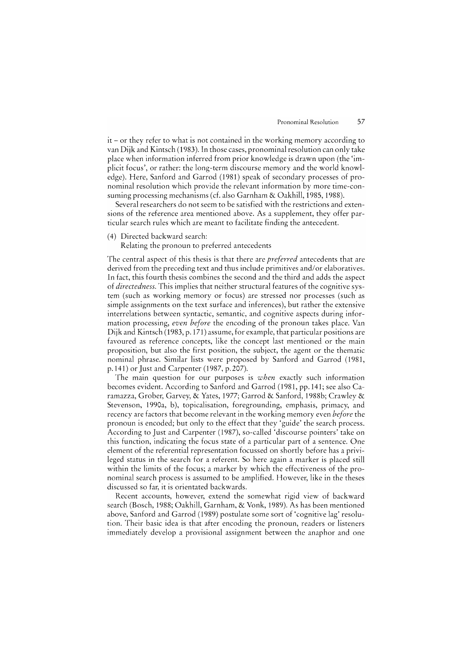it - or they refer to what is not contained in the working memory according to van Dijk and Kintsch (1983). In those cases, pronominal resolution can only take place when information inferred from prior knowledge is drawn upon (the 'implicit focus', or rather: the long-term discourse memory and the world knowledge). Here, Sanford and Garrod (1981) speak of secondary processes of pronominal resolution which provide the relevant information by more time-consuming processing mechanisms (cf. also Garnham & Oakhill, 1985, 1988).

Several researchers do not seem to be satisfied with the restrictions and extensions of the reference area mentioned above. As a supplement, they offer particular search rules which are meant to facilitate finding the antecedent.

( 4) Directed backward search:

Relating the pronoun to preferred antecedents

The central aspect of this thesis is that there are *preferred* antecedents that are derived from the preceding text and thus include primitives and/or elaboratives. In fact, this fourth thesis combines the second and the third and adds the aspect of *directedness.* This implies that neither structural features of the cognitive system (such as working memory or focus) are stressed nor processes (such as simple assignments on the text surface and inferences), but rather the extensive interrelations between syntactic, semantic, and cognitive aspects during information processing, *even before* the encoding of the pronoun takes place. Van Dijk and Kintsch (1983, p. 171) assume, for example, that particular positions are favoured as reference concepts, like the concept last mentioned or the main proposition, but also the first position, the subject, the agent or the thematic nominal phrase. Similar lists were proposed by Sanford and Garrod (1981, p. 141) or Just and Carpenter (1987, p.207).

The main question for our purposes is *when* exactly such information becomes evident. According to Sanford and Garrod (1981, pp.141; see also Caramazza, Grober, Garvey, & Yates, 1977; Garrod & Sanford, 1988b; Crawley & Stevenson, 1990a, b), topicalisation, foregrounding, emphasis, primacy, and recency are factors that become relevant in the working memory even *before* the pronoun is encoded; but only to the effect that they 'guide' the search process. According to Just and Carpenter (1987), so-called 'discourse pointers' take on this function, indicating the focus state of a particular part of a sentence. One element of the referential representation focussed on shortly before has a privileged status in the search for a referent. So here again a marker is placed still within the limits of the focus; a marker by which the effectiveness of the pronominal search process is assumed to be amplified. However, like in the theses discussed so far, it is orientated backwards.

Recent accounts, however, extend the somewhat rigid view of backward search (Bosch, 1988; Oakhill, Garnham, & Vonk, 1989). As has been mentioned above, Sanford and Garrod (1989) postulate some sort of 'cognitive lag' resolution. Their basic idea is that after encoding the pronoun, readers or listeners immediately develop a provisional assignment between the anaphor and one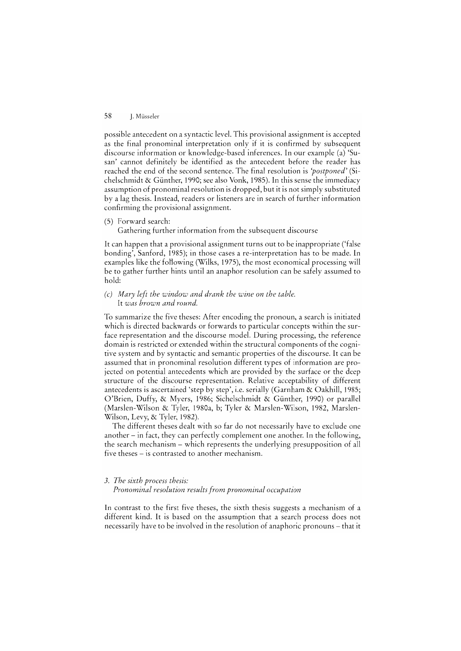possible antecedent on a syntactic level. This provisional assignment is accepted as the final pronominal interpretation only if it is confirmed by subsequent discourse information or knowledge-based inferences. **In** our example (a) 'Susan' cannot definitely be identified as the antecedent before the reader has reached the end of the second sentence. The final resolution is *'postponed'* (Sichelschmidt & Günther, 1990; see also Vonk, 1985). **In** this sense the immediacy assumption of pronominal resolution is dropped, but it is not simply substituted by a lag thesis. Instead, readers or listeners are in search of further information confirming the provisional assignment.

(5) Forward search:

Gathering further information from the subsequent discourse

**It** can happen that a provisional assignment turns out to be inappropriate ('false bonding', Sanford, 1985); in those cases are-interpretation has to be made. **In**  examples like the foliowing (Wilks, 1975), the most economical processing will be to gather further hints until an anaphor resolution can be safely assumed to hold:

#### *(c) Mary left the window and drank the wine on the table.*  It *was brown and round.*

To summarize the five theses: After encoding the pronoun, a search is initiated which is directed backwards or forwards to particular concepts within the surface representation and the discourse model. During processing, the reference domain is restricted or extended within the structural components of the cognitive system and by syntactic and semantic properties of the discourse. lt can be assumed that in pronominal resolution different types of information are projected on potential antecedents which are provided by the surface or the deep structure of the discourse representation. Relative acceptability of different antecedents is ascertained 'step by step', i.e. serially (Garnham & Oakhill, 1985; O'Brien, Duffy, & Myers, 1986; Sichelschmidt & Günther, 1990) or parallel (Marslen-Wilson & Tyler, 1980a, b; Tyler & Marslen-Wilson, 1982, Marslen-Wilson, Levy, & Tyler, 1982).

The different theses dealt with so far do not necessarily have to exclude one another - in fact, they can perfectly complement one another. In the following, the search mechanism - which represents the underlying presupposition of all five theses – is contrasted to another mechanism.

#### *3. The sixth process thesis:*

#### *Pronominal resolution results from pronominal occupation*

In contrast to the first five theses, the sixth thesis suggests a mechanism of a different kind. lt is based on the assumption that a search process does not necessarily have to be involved in the resolution of anaphoric pronouns – that it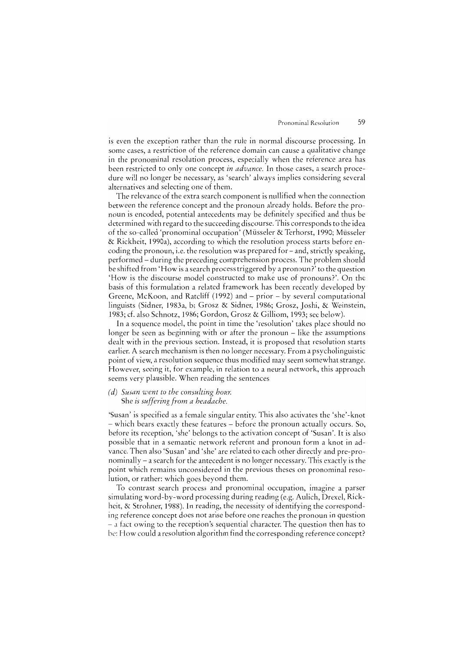is even the exception rather than the rule in normal discourse processing. In some cases, a restriction of the reference domain can cause a qualitative change in the pronominal resolution process, especially when the reference area has been restricted to only one concept *in advance.* In those cases, a search procedure will no longer be necessary, as 'search' always implies considering several alternatives and selecting one of them.

The relevance of the extra search component is nullified when the connection between the reference concept and the pronoun already holds. Before the pronoun is encoded, potential antecedents may be definitely specified and thus be determined with regard to the succeeding discourse. This corresponds to the idea of the so-called 'pronominal occupation' (Müsseler & Terhorst, 1990; Müsseler & Rickheit, 1990a), according to which the resolution process starts before encoding the pronoun, i.e. the resolution was prepared for - and, strictly speaking, performed – during the preceding comprehension process. The problem should be shifted from 'How is a search process triggered by a pronoun?' to the question 'How is the discourse model constructed to make use of pronouns?'. On the basis of this formulation a related framework has been recently developed by Greene, McKoon, and Ratcliff (1992) and  $-$  prior  $-$  by several computational linguists (Sidner, 1983a, b; Grosz & Sidner, 1986; Grosz, Joshi, & Weinstein, 1983; also Schnotz, 1986; Gordon, Grosz & Gilliom, 1993; sec below).

In a sequence model, the point in time the 'resolution' takes place should no longer be seen as beginning with or after the pronoun – like the assumptions dealt with in the previous section. Instead, it is proposed that resolution starts earlier. A search mechanism is then no longer necessary. From a psycholinguistic point of view, aresolution sequence thus modified may seem somewhat strange. However, seeing it, for example, in relation to a neural network, this approach seems very plausible. When reading the sentences

#### *(d) Susan went to the consulting hour.*  She *is suffering from a headache.*

'Susan' is specified as a female singular entity. This also activates the 'she' -knot - which bears exactly these features - before the pronoun actually occurs. So, before its reception, 'she' belongs to the activation concept of 'Susan'. It is also possible that in a semantic network referent and pronoun form a knot in advance. Then also 'Susan' and 'she' are related to each other direcdy and pre-pronominally  $-$  a search for the antecedent is no longer necessary. This exactly is the point which remains unconsidered in the previous theses on pronominal resolution, or rather: which goes beyond them.

To contrast search process and pronominal occupation, imagine a parser simulating word-by-word processing during reading (e.g. Aulich, Drexel, Rickheit, & Strohner, 1988). **In** reading, the necessity of identifying the corresponding rcference conccpt does not arise before one reaches the pronoun in question a fact owing to the reception's sequential charactcr. Thc question then has to be: How could a resolution algorithm find the corresponding reference concept?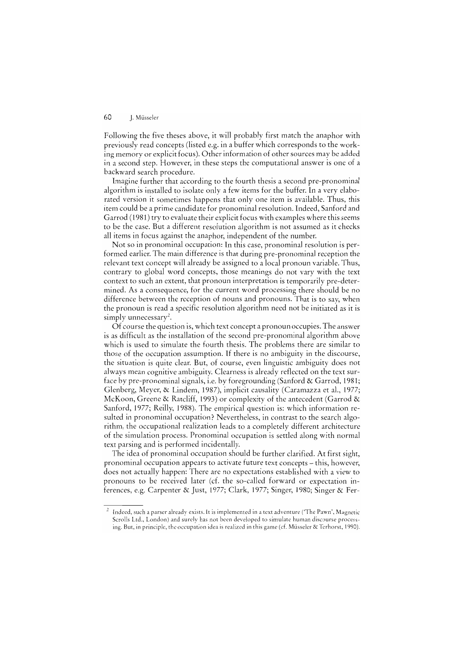Followmg the five theses above, it will probably first match the anaphor with previously read concepts (listed e.g. in a buffer which corresponds to the ing memory or explicit focus). Other information of other sources may be added in a second step. However, in these steps the computational answer is one of a backward search procedure.

Imagine further that according to the fourth thesis a second pre-pronominal algorithm is installed to isolate only a few items for the buffer. **In** a very elaborated version it sometimes happens that only one item is available. Thus, this item could be a prime candidate for pronominal resolution. Indeed, Sanford and Garrod (1981) try to evaluate their explicit focus with examples where this seems to be the case. But a different resolution algorithm is not assumed as it all items in focus against the anaphor, independent of the number.

Not so in pronominal occupation: In this case, pronominal resolution is performed earlier. The main difference is that during pre-pronominal reception the relevant text concept will already be assigned to a local pronoun variable. Thus, contrary to global word concepts, those meanings do not vary with the text context to such an extent, that pronoun interpretation is temporarily pre-determined. As a consequence, for the current word processing there should be no difference between the rcception of nouns and pronouns. That is to say, when the pronoun is rcad a specific resolution algorithm need not be initiated as it is simply unnecessary<sup>2</sup>.

Of course the question is, which text concept a pronoun occupies. The answer is as difficult as thc installation of the sccond pre-pronominal algorithm above which is used to simulate the fourth thesis. The problems there are similar to those of the occupation assumption. If there is no ambiguity in the discourse, the situation is quite dear. But, of course, even linguistic ambiguity does not always mean cognitive ambiguity. Clearness is already reflected on the text surface by pre-pronominal signals, i.e. by foregrounding (Sanford & Garrod, 1981; Glenberg, Meyer, & Lindem, 1987), implicit causality (Caramazza et al., 1977; McKoon, Greene & Ratcliff, 1993) or complexity of the antecedent (Garrod & Sanford, 1977; Reilly, 1988). Thc empirical question is: which information resulted in pronominal occupation? Nevertheless, in contrast to the search algorithm, the occupational realization leads to a completely different architecture of the simulation process. Pronominal occupation is settled along with normal text parsing and is perfonned incidentally.

The idea of pronominal occupation should be further clarified. At first sight, pronominal occupation appears to activate future text concepts - this, however, does not actually happen: There are no expectations established with a view to pronouns to be received later (cf. the so-called forward or expectation inferences, e.g. Carpenter & Just, 1977; Clark, 1977; Singer, 1980; Singer & Fer-

 $1$  Indeed, such a parser already exists. It is implemented in a text adventure ('The Pawn', Magnetic Serolls Ltd., London) and surely has not been developed to simulatc human discourse processing. But, in principle, the occupation idea is realized in this game (cf. Müsseler & Terhorst, 1990).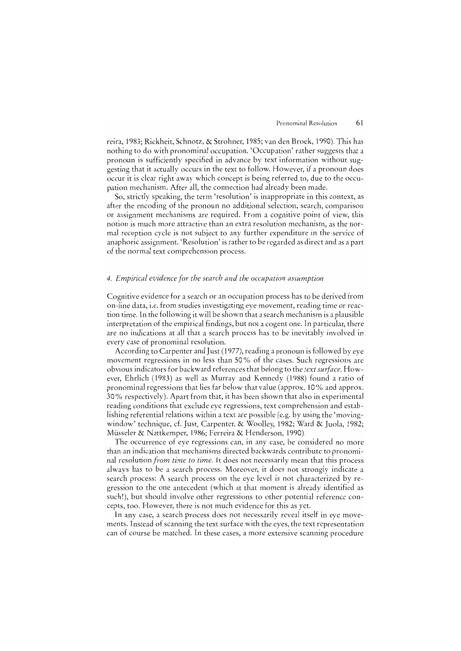reira, 1983; Rickheit, Schnotz, & Strohner, 1985; van den Broek, 1990). This has nothing to do with pronominal occupation. 'Occupation' rather suggests that a pronoun is sufficiently specified in advance by text information without suggesting that it actually occurs in the text to follow. However, if a pronoun does occur it is dear right away which concept is being referred to, due to the occupation mechanism. After all, the connection had already been made.

So, stricrly speaking, the term 'resolution' is inappropriate in this context, as after the encoding of the pronoun no additional selection, search, comparison or assignment mechanisms are required. From a cognitive point of view, this notion is much more attractive than an extra resolution mechanism, as the normal reception cyde is not subject to any further expenditure in the service of anaphoric assignment. 'Resolution' is rather to be regarded as direct and as apart of the normal text comprehension process.

#### 4. *Empirical evidence for the search and the occupation assumption*

Cognitive evidence for a search or an occupation process has to be derived from on-line data, i.e. from studies investigating eye movement, reading time or reaction time. In the following it will be shown that a search mechanism is a plausible interpretation of the empirical findings, but not a cogent one. In particular, there are no indications at all that a search process has to be inevitably involved in every case of pronominal resolution.

According to Carpenter and Just (1977), reading a pronoun is followed by eye movement regressions in no less than 50 % of the cases. Such regressions are obvious indicators for backward references that belong to the *text surface.* However, Ehrlich (1983) as weIl as Murray and Kennedy (1988) found a ratio of pronominal regressions that lies far below that value (approx. 10 % and approx. 30 % respectively). Apart from that, it has been shown that also in experimental reading conditions that exdude eye regressions, text comprehension and establishing referential relations within a text are possible (e.g. by using the 'movingwindow' technique, cf. Just, Carpenter, & Woolley, 1982; Ward & Juola, 1982; Müsseler & Nattkemper, 1986; Ferreira & Henderson, 1990).

The occurrence of eye regressions can, in any case, be considered no more than an indication that mechanisms directed backwards contribute to pronominal resolution *from time to time.* lt does not necessarily mean that this process always has to be a search process. Moreover, it does not strongly indicate a search process: A search process on the eye level is not characterized by regression to the one antecedent (which at that moment is already identified as such!), but should involve other regressions to other potential reference concepts, too. However, there is not much evidence for this as yet.

In any case, a search process does not necessarily reveal itself in eye movements. Instead of scanning the text surface with the eyes, the text representation can of course be matched. In these cases, a more extensive scanning procedure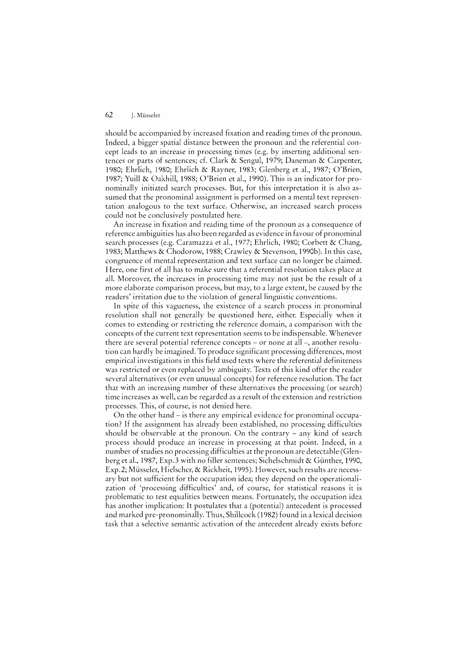should be accompanied by increased fixation and reading times of the pronoun. Indeed, a bigger spatial distance between the pronoun and the referential concept leads to an increase in processing times (e.g. by inserting additional sentences or parts of sentences; cf. Clark & Sengul, 1979; Daneman & Carpenter, 1980; Ehrlich, 1980; Ehrlich & Rayner, 1983; Glenberg et al., 1987; O'Brien, 1987; Yuill & Oakhill, 1988; O'Brien et al., 1990). This is an indicator for pronominally initiated search processes. But, for this interpretation it is also assumed that the pronominal assignment is performed on a mental text representation analogous to the text surface. Otherwise, an increased search process could not be conclusively postulated here.

An increase in fixation and reading time of the pronoun as a consequence of reference ambiguities has also been regarded as evidence in favour of pronominal search processes (e.g. Caramazza et al., 1977; Ehrlich, 1980; Corbett & Chang, 1983; Matthews & Chodorow, 1988; Crawley & Stevenson, 1990b). In this case, congruence of mental representation and text surface can no longer be claimed. Here, one first of all has to make sure that a referential resolution takes place at all. Moreover, the increases in processing time may not just be the result of a more elaborate comparison process, but may, to a large extent, be caused by the readers' irritation due to the violation of general linguistic conventions.

In spite of this vagueness, the existence of a search process in pronominal resolution shall not generally be questioned here, either. Especially when it comes to extending or restricting the reference domain, a comparison with the concepts of the current text representation seems to be indispensable. Whenever there are several potential reference concepts – or none at all –, another resolution can hardly be imagined. To produce significant processing differences, most empirical investigations in this field used texts where the referential definiteness was restricted or even replaced by ambiguity. Texts of this kind offer the reader several alternatives (or even unusual concepts) for reference resolution. The fact that with an increasing number of these alternatives the processing (or search) time increases as well, can be regarded as a result of the extension and restriction processes. This, of course, is not denied here.

On the other hand - is there any empirical evidence for pronominal occupation? If the assignment has already been established, no processing difficulties should be observable at the pronoun. On the contrary - any kind of search process should produce an increase in processing at that point. Indeed, in a number of studies no processing difficulties at the pronoun are detectable (Glenberg et al., 1987, Exp. 3 with no filler sentences; Sichclschmidt & Günther, 1990, Exp. 2; Müsseler, Hielscher, & Rickheit, 1995). However, such results are necessary but not sufficient for the occupation idea; they depend on the operationalization of 'processing difficulties' and, of course, for statistical reasons it is problematic to test equalities between means. Fortunately, the occupation idea has another implication: Ir postulates that a (potential) antecedent is processed and marked pre-pronominally. Thus, Shillcock (1982) found in a lexical decision task that a selective semantic activation of the antecedent already exists before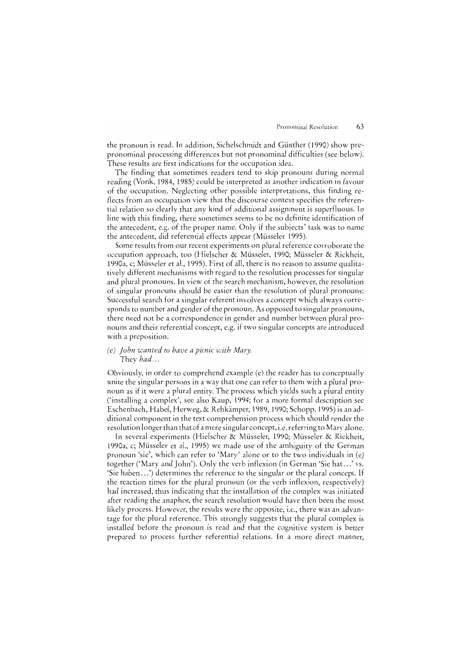the pronoun is read. In addition, Sichelschmidt and Günther (1990) show prepronominal processing differences but not pronominal difficulties (see below). These results are first indications for the occupation idea.

The finding that sometimes readers tend to skip pronouns during normal reading (Vonk, 1984, 1985) could be interpreted as another indication in favour of the occupation. Neglecting other possible interpretations, this finding refleets from an occupation view that the discourse context specifies the referential relation so clearly that any kind of additional assignment is superfluous. In line with this finding, there sometimes seems to be no definite identification of the antecedent, e.g. of the proper name. Only if the subjects' task was to name the antecedent, did referential effects appear (Müsseler 1995).

Some results from our recent experiments on plural reference corroborate the occupation approach, too (Hielscher & Müsseler, 1990; Müsseler & Rickheit, 1990a, c; Müsseler et aL, 1995). First of all, there is no reason to assurne qualitatively different mechanisms with regard to the resolution processes for singular and plural pronouns. In view of the search mechanism, however, the resolution of singular pronouns should be easier than the resolution of plural pronouns: Successful search for a singular referent involves a concept which always corresponds to number and gender of the pronoun. As opposed to singular pronouns, there need not be a correspondence in gender and number between plural pronouns and their referential concept, e.g. if two singular concepts are introduced with a preposition.

#### *(e) John wanted to have a picnic with Mary.* They *had ...*

Obviously, in order to comprehend example (e) the reader has to conceptually unite the singular persons in a way that one can refer to them with a plural pronoun as if it were a plural entity. The process which yields such a plural entity ('installing a complex', see also Kaup, 1994; for a more formal description see Eschenbach, Habel, Herweg, & Rehkämper, 1989, 1990; Schopp, 1995) is an additional component in the text comprehension process which should render the resolution longer than that of a mere singular concept, i.e. referring to Mary alone.

In several experiments (Hielseher & Müsseler, 1990; Müsseler & Rickheit, 1990a, c; Müsseler et al., 1995) we made use of the ambiguity of the German pronoun 'sie', which can refer to 'Mary' alone or to the two individuals in (e) together ('Mary and John'). Only the verb inflexion (in German 'Sie hat .. .' vs. 'Sie haben .. .') determines the reference to the singular or the plural concept. If the reaction times for the plural pronoun (or the verb inflexion, respectively) had increased, thus indicating that the installation of the complex was initiated after reading the anaphor, the search resolution would have then been the most likely process. However, the results were the opposite, i.e., there was an advantage for the plural reference. This strongly suggests that the plural complex is installed before the pronoun is read and that the cognitive system is better prepared to process further referential relations. In a more direct manner,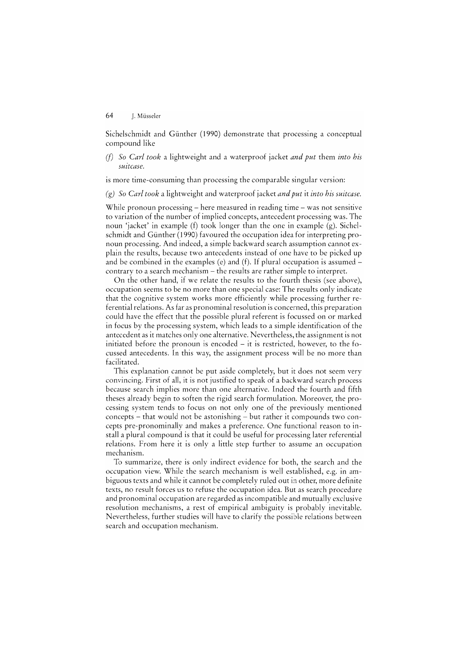Sichelschmidt and Günther (1990) demonstrate that processing a conceptual compound like

*(f)* So *Carl took* a lightweight and a waterproof jacket *and put* them *into his suitcase.* 

is more time-consuming than processing the comparable singular version:

(g) So *Carl took* a lightweight and waterproof jacket *and put* it *into his suitcase.* 

While pronoun processing  $-$  here measured in reading time  $-$  was not sensitive to variation of the number of implied concepts, antecedent processing was. The noun 'jacket' in example (f) took longer than the one in example (g). Sichelschmidt and Günther (1990) favoured the occupation idea for interpreting pronoun processing. And indeed, a simple backward search assumption cannot explain the results, because two antecedents instead of one have to be picked up and be combined in the examples (e) and (f). If plural occupation is assumed  $$ contrary to a search mechanism - the results are rather simple to interpret.

On the other hand, if we relate the results to the fourth thesis (see above), occupation seems to be no more than one special case: The results only indicate that the cognitive system works more efficiendy while processing further referential relations. As far as pronominal resolution is concerned, this preparation could have the effect that the possible plural referent is focussed on or marked in focus by the processing system, which leads to a simple identification of the antecedent as it matches only one alternative. Nevertheless, the assignment is not initiated before the pronoun is encoded  $-$  it is restricted, however, to the focussed antecedents. In this way, the assignment process will be no more than facilitated.

This explanation cannot be put aside completely, but it does not seem very convincing. First of all, it is not justified to speak of a backward search process because search implies more than one alternative. Indeed the fourth and fifth theses already begin to soften the rigid search formulation. Moreover, the processing system tends to focus on not only one of the previously mentioned concepts - that would not be astonishing - but rather it compounds two concepts pre-pronominally and makes a preference. One functional reason to install a plural compound is that it could be useful for processing later rcferential relations. From here it is only a litde step further to assume an occupation mechanism.

To summarize, there is only indirect evidence for both, the search and the occupation view. While the search mechanism is weIl established, e.g. in ambiguous texts and while it cannot be completely ruled out in other, more definite texts, no result forces us to refuse the occupation idea. But as search procedure and pronominal occupation are regarded as incompatible and mutually exclusive resolution mechanisms, a rest of empirical ambiguity is probably inevitable. Nevertheless, further studies will have to clarify the possible relations between search and occupation mechanism.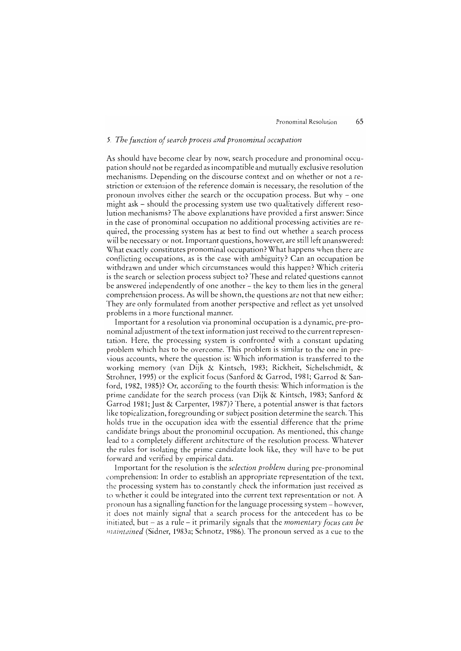#### *5. The function of search process and pronominal occupation*

As should have become clear by now, search procedure and pronominal occupation should not be regarded as incompatible and mutually exclusive resolution mechanisms. Depending on the discourse context and on whether or not a restriction or extension of the reference domain is necessary, the resolution of the pronoun involves either the search or the occupation process. But why  $-$  one might ask - should the processing system use two qualitatively different resolution mechanisms? The above explanations have provided a first answer: Since in the case of pronominal occupation no additional processing activities are required, the processing system has at best to find out whether a search process will be necessary or not. Important questions, however, are still left unanswered: What exacdy constitutes pronominal occupation? What happens when there are conflicting occupations, as is the case with ambiguity? Can an occupation be withdrawn and under which circumstances would this happen? Which criteria is the search or selection process subject to? These and related questions cannot be answered independently of one another – the key to them lies in the general eomprehension process. As will be shown, the questions are not that new either: They are only formulated from another perspective and reflect as yet unsolved problems in a more functional manner.

Important for a resolution via pronominal occupation is a dynamic, pre-pronominal adjustment of the text information just received to the current representation. Here, the processing system is eonfronted with a constant updating problem which has to be overcome. This problem is similar to the one in previous aecounts, where the question is: Which information is transferred to the working memory (van Dijk & Kintseh, 1983; Rickheit, Sichelschmidt, & Strohner, 1995) or the explicit focus (Sanford & Garrod, 1981; Garrod & Sanford, 1982, 1985)? Or, aecording to the fourth thesis: Which information is the prime candidate for the search process (van Dijk & Kintsch, 1983; Sanford & Garrod 1981; Just & Carpenter, 1987)? There, a potential answer is that factors like topicalization, foregrounding or subject position determine the search. This holds true in the oceupation idea with the essential difference that the prime eandidate brings about the pronominal oceupation. As mentioned, this change lead to a completely different architecture of the resolution process. Whatever the rules for isolating the prime candidate look like, they will have to be put forward and vcrified by empirical data.

lmportant the resolution is thc *selection problem* during pre-pronominal comprehension: In order to establish an appropriate representation of the text, thc processing system has to constantly check the information just received as to whether it could be integrated into the current text representation or not. A pronoun has a signalling function for the language processing system - however, it does not mainly signal that a scarch process for the antecedent has to bc initiated, but  $-$  as a rule  $-$  it primarily signals that the *momentary focus can be maintained* (Sidner, 1983a; Schnotz, 1986). The pronoun served as a eue to the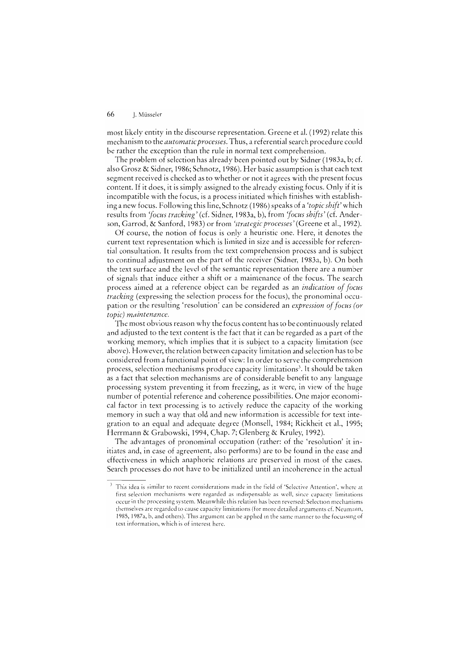most likely entity in the discourse representation. Greene et al. (1992) relate this mechanism to the *automatieproeesses.* Thus, a referential search procedure could be rather the exception than the rule in normal text comprehension.

The problem of selection has already been pointed out by Sidner (1983a, b; cf. also Grosz & Sidner, 1986; Schnotz, 1986). Her basic assumption is that each text segment received is checked as to whether or not it agrees with the present foeus content. If it does, it is simply assigned to the already existing focus. Only if it is incompatible with the focus, is a process initiated which finishes with establishing a new focus. Following this line, Schnotz (1986) speaks of a *'topie shift'* which results from *'focus tracking'* (cf. Sidner, 1983a, b), from *'focus shifts'* (cf. Anderson, Garrod, & Sanford, 1983) or from *'strategie proeesses'* (Greene et al., 1992).

Of course, the notion of focus is only a heuristic one. Here, it denotes the current text representation which is limited in size and is accessible for referential eonsultation. lt results from the text comprehension process and is subject to eontinual adjustment on the part of the receiver (Sidner, 1983a, b). On both the text surface and the level of the semantic representation there are a number of signals that induce either a shift or a maintenance of the focus. The search process aimed at a reference object can be regarded as an *indication of focus* tracking (expressing the selection process for the focus), the pronominal occupation or the resulting 'resolution' can be considered an *expression of foeus (or topic) maintenanee.* 

Thc most obvious reason why the foeus eontent has to be continuously related and adjusted to the text eontent is the fact that it can be regarded as apart of the working memory, which implies that it is subject to a capacity limitation (see above). However, the relation between capacity limitation and selection has to be eonsidered from a functional point of view: In to serve the eomprehension process, selection mechanisms produce capacity limitations<sup>3</sup>. It should be taken as a fact that selection mechanisms are of considerable benefit to any language processing system preventing it from freezing, as it were, in view of the huge number of potential reference and eoherence possibilities. One major economical faetor in text processing is to actively reduce the capacity of the working memory in such a way that old and new information is accessible for text integration to an equal and adequate degree (Monsell, 1984; Rickheit et al., 1995; Herrmann & Grabowski, 1994, Chap. 7; Glenberg & Kruley, 1992).

The advantages of pronominal occupation (rather: of the 'resolution' it initiates and, in case of agreement, also performs) are to be found in the ease and effectiveness in which anaphoric relations are preserved in most of the cases. Search processes do not have to be initialized until an incoherence in the actual

This idea is similar to recent considerations made in the field of 'Selective Attention', where at first selection mechanisms were regarded as indispensable as well, since capacity limitations occur in the processing system. Meanwhile this relation has been reversed: Selection mechanisms themselves are regarded to cause capacity limitations (for more detailed arguments cf. Neumann, 1985, 1987a, b, and others). This argument can be applied in the same manner to the focussing of text information, which is of interest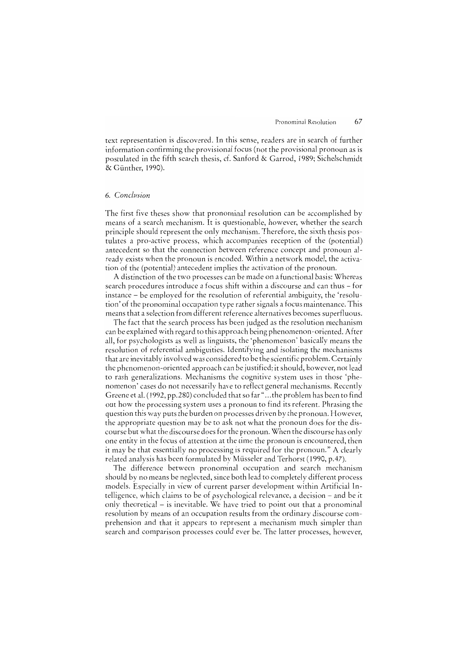text representation is discovered. In this sense, readers are in search of further information confirming the provisional focus (not the provisional pronoun as is postulated in the fifth search thesis, cf. Sanford & Garrod, 1989; Sichelschmidt & Günther, 1990).

#### 6. *Conclusion*

The first five theses show that pronominal resolution can be accomplished by means of a search mechanism. It is questionable, however, whether the search principle should represent the only mechanism. Therefore, the sixth thesis postulates a pro-active process, which accompanies reception of the (potential) antecedent so that the connection between reference concept and pronoun already exists when the pronoun is encoded. Within a network model, the activation of the (potential) antecedent implies the activation of the pronoun.

A distinction of the two processes can be made on a functional basis: Whereas search procedures introduce a focus shift within a discourse and can thus – for instance - be employed for the resolution of referential ambiguity, the 'resolution' of the pronominal occupation type rather signals a foeus maintenance. This means that a seleetion from different reference alternatives beeomes superfluous.

The fact that the search process has been judged as the resolution mechanism can be explained with regard to this approach being phenomenon-oriented. After all, for psychologists as weIl as linguists, the 'phenomenon' basically means the resolution of referential ambiguities. ldentifying and isolating the mechanisms that are inevitably involved was considered to be the scientific problem. Certainly the phenomenon-oriented approach can be justified; it should, however, not lead to rash generalizations. Mechanisms the cognitive system uses in those 'phenomenon' cases do not necessarily have to reflect general mechanisms. Recently Greene et al. (1992, pp.280) concluded that so far" ... the problem has been to find out how the processing system uses a pronoun to find its referent. Phrasing the question this way puts the burden on processes driven by the pronoun. However, the appropriate question may be to ask not what the pronoun does for the discourse but wh at the discourse does for the pronoun. When the discourse has only one entity in the focus of attention at the time the pronoun is encountered, then it may be that essentially no processing is required for the pronoun." A clearly related analysis has been formulated by Müsseler and Terhorst (1990, p.47).

The difference between pronominal occupation and search mechanism should by no means be neglected, since both lead to complctely different process models. Especially in view of current parser development within Artifieial lntelligence, which claims to be of psychological relevance, a decision – and be it only theoretical - is inevitable. We have tried to point out that a pronominal resolution by means of an occupation results from the ordinary discourse comprehension and that it appears to represent a mechanism much simpler than search and comparison processes could ever be. The latter processes, however,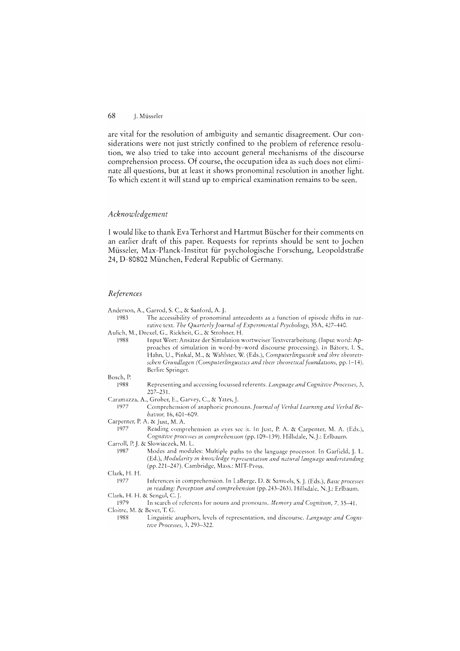are vital for the resolution of ambiguity and semantic disagreement. Our considerations were not just strictly confined to the problem of reference resolution, we also tried to take into account general mechanisms of the discourse comprehension process. Of course, the occupation idea as such does not eliminate all questions, but at least it shows pronominal resolution in another light. To which extent it will stand up to empirical examination remains to be seen.

#### Acknowledgement

I would like to thank Eva Terhorst and Hartmut Büscher for their comments on an earlier draft of this paper. Requests for reprints should be sent to Jochen Müsseler, Max-Planck-Institut für psychologische Forschung, Leopoldstraße 24, D-80802 München, Federal Republic of Germany.

#### References

- Anderson, A., Garrod, S. C., & Sanford, A. J.
- The accessibility of pronominal antecedents as a function of episode shifts in nar-1983 rative text. The Quarterly Journal of Experimental Psychology, 35A, 427-440.
- Aulich, M., Drexel, G., Rickheit, G., & Strohner, H.
- 1988 Input Wort: Ansätze der Simulation wortweiser Textverarbeitung. (Input word: Approaches of simulation in word-by-word discourse processing). In Bátory, I. S., Hahn, U., Pinkal, M., & Wahlster, W. (Eds.), Computerlinguistik und ihre theoretischen Grundlagen (Computerlinguistics and their theoretical foundations, pp. 1-14). Berlin: Springer.

#### Bosch, P.

- 1988 Representing and accessing focussed referents. Language and Cognitive Processes, 3,  $207 - 231$ .
- Caramazza, A., Grober, E., Garvey, C., & Yates, J.
	- 1977 Comprehension of anaphoric pronouns. Journal of Verbal Learning and Verbal Behavior, 16, 601-609.
- Carpenter, P. A. & Just, M. A.
- 1977 Reading comprehension as eyes see it. In Just, P. A. & Carpenter, M. A. (Eds.), Cognitive processes in comprehension (pp. 109-139). Hillsdale, N.J.: Erlbaum. Carroll, P. J. & Slowiaczek, M. L.
- Modes and modules: Multiple paths to the language processor. In Garfield, J. L. 1987 (Ed.), Modularity in knowledge representation and natural language understanding (pp. 221-247). Cambridge, Mass.: MIT-Press.

Clark, H. H.

- 1977 Inferences in comprehension. In LaBerge, D. & Samuels, S. J. (Eds.), Basic processes in reading: Perception and comprehension (pp. 243-263). Hillsdale, N.J.: Erlbaum. Clark, H. H. & Sengul, C. J.
- 
- 1979 In search of referents for nouns and pronouns. Memory and Cognition, 7, 35-41. Cloitre, M. & Bever, T. G.
	- 1988 Linguistic anaphors, levels of representation, and discourse. Language and Cognitwe Processes, 3, 293-322.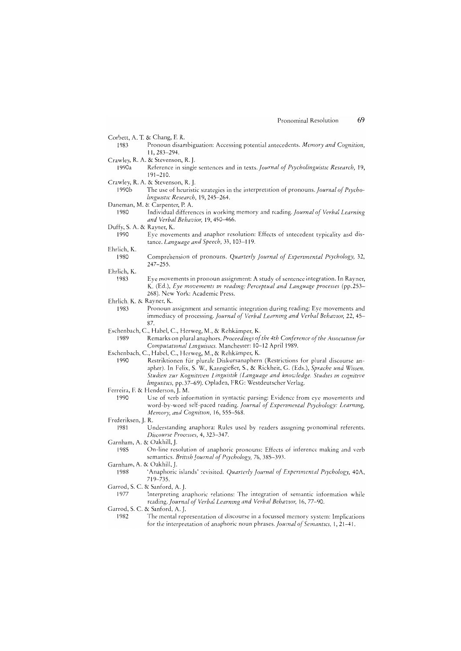- Corbett, A. T. & Chang, F. R.
- 1983 Pronoun disambiguation: Accessing potential antecedents. Memory and Cognition, 11, 283-294
- Crawley, R. A. & Stevenson, R. J. Reference in single sentences and in texts. Journal of Psycholinguistic Research, 19,  $1990a$  $191 - 210$
- Crawley, R. A. & Stevenson, R. J.
- $1990<sub>b</sub>$ The use of heuristic strategies in the interpretation of pronouns. Journal of Psycholinguistic Research, 19, 245-264.
- Daneman, M. & Carpenter, P. A.
- Individual differences in working memory and reading. Journal of Verbal Learning 1980 and Verbal Behavior, 19, 450-466.
- Duffy, S. A. & Rayner, K.
	- 1990 Eye movements and anaphor resolution: Effects of antecedent typicality and distance. Language and Speech, 33, 103-119.
- Ehrlich, K.
	- Comprehension of pronouns. Quarterly Journal of Experimental Psychology, 32, 1980  $247 - 255$ .
- Ehrlich, K.
	- 1983 Eye movements in pronoun assignment: A study of sentence integration. In Rayner, K. (Ed.), Eye movements in reading: Perceptual and Language processes (pp.253-268). New York: Academic Press.
- Ehrlich, K. & Rayner, K.
	- Pronoun assignment and semantic integration during reading: Eye movements and 1983 immediacy of processing. Journal of Verbal Learning and Verbal Behavior, 22, 45-87
- Eschenbach, C., Habel, C., Herweg, M., & Rehkämper, K.
- Remarks on plural anaphors. Proceedings of the 4th Conference of the Association for 1989 Computational Linguistics. Manchester: 10-12 April 1989.
- Eschenbach, C., Habel, C., Herweg, M., & Rehkämper, K.
- Restriktionen für plurale Diskursanaphern (Restrictions for plural discourse an-1990 apher). In Felix, S. W., Kanngießer, S., & Rickheit, G. (Eds.), Sprache und Wissen. Studien zur Kognitiven Linguistik (Language and knowledge. Studies in cognitive linguistics, pp.37-69). Opladen, FRG: Westdeutscher Verlag.
- Ferreira, F. & Henderson, J. M.
- 1990 Use of verb information in syntactic parsing: Evidence from eye movements and word-by-word self-paced reading. Journal of Experimental Psychology: Learning, Memory, and Cognition, 16, 555-568.
- Frederiksen, J. R.
	- 1981 Understanding anaphora: Rules used by readers assigning pronominal referents. Discourse Processes, 4, 323-347.
- Garnham, A. & Oakhill, J.
	- 1985 On-line resolution of anaphoric pronouns: Effects of inference making and verb semantics. British Journal of Psychology, 76, 385-393.
- Garnham, A. & Oakhill, J.
- 'Anaphoric islands' revisited. Quarterly Journal of Experimental Psychology, 40A, 1988 719-735
- Garrod, S. C. & Sanford, A. L.
	- Interpreting anaphoric relations: The integration of semantic information while 1977 reading. Journal of Verbal Learning and Verbal Behavior, 16, 77-90.
- Garrod, S. C. & Sanford, A. J.
	- 1982 The mental representation of discourse in a focussed memory system: Implications for the interpretation of anaphoric noun phrases. Journal of Semantics, 1, 21-41.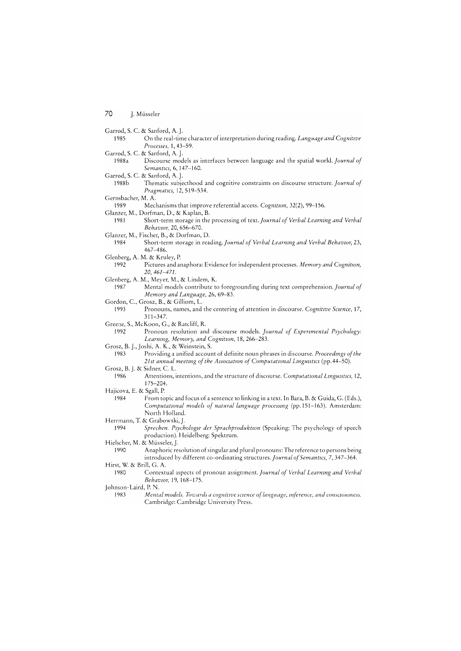|                              | Garrod, S. C. & Sanford, A. J.                                                                                                                                                              |
|------------------------------|---------------------------------------------------------------------------------------------------------------------------------------------------------------------------------------------|
| 1985                         | On the real-time character of interpretation during reading. Language and Cognitive<br>Processes, 1, 43-59.                                                                                 |
|                              | Garrod, S. C. & Sanford, A. J.                                                                                                                                                              |
| 1988a                        | Discourse models as interfaces between language and the spatial world. Journal of<br>Semantics, 6, 147-160.                                                                                 |
|                              | Garrod, S. C. & Sanford, A. J.                                                                                                                                                              |
| 1988b                        | Thematic subjecthood and cognitive constraints on discourse structure. Journal of<br>Pragmatics, 12, 519-534.                                                                               |
| Gernsbacher, M. A.           |                                                                                                                                                                                             |
| 1989                         | Mechanisms that improve referential access. Cognition, 32(2), 99-156.                                                                                                                       |
|                              | Glanzer, M., Dorfman, D., & Kaplan, B.                                                                                                                                                      |
| 1981                         | Short-term storage in the processing of text. Journal of Verbal Learning and Verbal<br>Behavior, 20, 656-670.                                                                               |
|                              | Glanzer, M., Fischer, B., & Dorfman, D.                                                                                                                                                     |
| 1984                         | Short-term storage in reading. Journal of Verbal Learning and Verbal Behavior, 23,<br>467-486.                                                                                              |
|                              | Glenberg, A. M. & Kruley, P.                                                                                                                                                                |
| 1992                         | Pictures and anaphora: Evidence for independent processes. Memory and Cognition,<br>20, 461-471.                                                                                            |
|                              | Glenberg, A. M., Meyer, M., & Lindem, K.                                                                                                                                                    |
| 1987                         | Mental models contribute to foregrounding during text comprehension. Journal of<br>Memory and Language, 26, 69–83.                                                                          |
|                              | Gordon, C., Grosz, B., & Gilliom, L.                                                                                                                                                        |
| 1993                         | Pronouns, names, and the centering of attention in discourse. Cognitive Science, 17,<br>$311 - 347$ .                                                                                       |
|                              | Greene, S., McKoon, G., & Ratcliff, R.                                                                                                                                                      |
| 1992                         | Pronoun resolution and discourse models. Journal of Experimental Psychology:<br>Learning, Memory, and Cognition, 18, 266-283.                                                               |
|                              | Grosz, B. J., Joshi, A. K., & Weinstein, S.                                                                                                                                                 |
| 1983                         | Providing a unified account of definite noun phrases in discourse. Proceedings of the<br>21st annual meeting of the Association of Computational Linguistics (pp. 44-50).                   |
| Grosz, B. J. & Sidner, C. L. |                                                                                                                                                                                             |
| 1986                         | Attentions, intentions, and the structure of discourse. Computational Linguistics, 12,<br>$175 - 204$ .                                                                                     |
| Hajicova, E. & Sgall, P.     |                                                                                                                                                                                             |
| 1984                         | From topic and focus of a sentence to linking in a text. In Bara, B. & Guida, G. (Eds.),<br>Computational models of natural language processing (pp. 151-163). Amsterdam:<br>North Holland. |
|                              | Herrmann, T. & Grabowski, J.                                                                                                                                                                |
| 1994                         | Sprechen. Psychologie der Sprachproduktion (Speaking: The psychology of speech<br>production). Heidelberg: Spektrum.                                                                        |

Hielscher, M. & Müsseler, J.<br>1990 Anaphoric re Anaphoric resolution of singular and plural pronouns: The reference to persons being introduced by different co-ordinating *structures. Journal of Semantics*, 7, 347-364. Hirst, W. & BrilI, G. A.

1980 Contextual aspects of pronoun assignment. *Journal* 0/ *Verbal Learnzng and Verbal BehavlOr,* 19, 168-175.

Johnson-Laird, P. N.

1983 Mental models. Towards a cognitive science of language, inference, and consciousness. Cambridge: Cambridge University Press.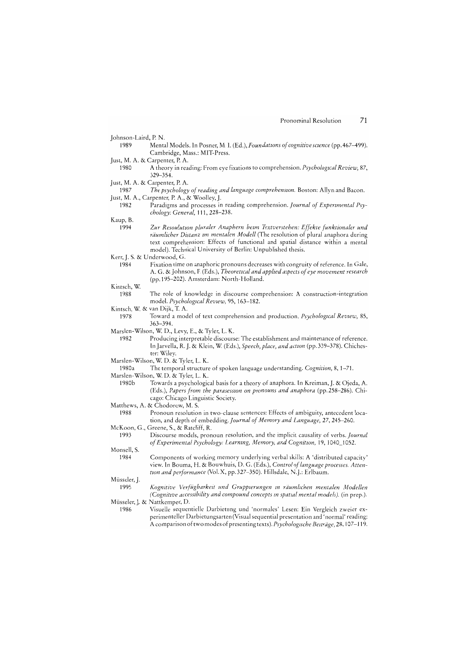| Johnson-Laird, P. N. |  |  |
|----------------------|--|--|
|                      |  |  |

- 1989 Mental Models. In Posner, M. I. (Ed.), *Foundations of cognitive science* (pp. 467-499). Cambridge, Mass.: MIT-Press.
- Just, M. A. & Carpenter, P. A.
- 1980 A in reading: From eye fixations to comprehension. *Psychologzcal Review,* 87, 329-354.
- Just, M. A. & Carpenter, P. A.
- 1987 *The psychology of reading and language comprehension*. Boston: Allyn and Bacon. Just, M. A., Carpenter, P. A., & Woolley, J.<br>1982 Paradigms and processes in
	- Paradigms and processes in reading comprehension. *Journal of Experimental Psy-General,* **111,228-238.**

Kaup, B.

- 1994 *Zur ResoulutlOn pluraler Anaphern bezm Textverstehen: Effekte funktionaler und räumlicher Distanz zm mentalen Modell* resolution of plural anaphora during text comprehension: Effects of functional and spatial distance within a mental model). Technical University of Berlin: Unpublished thesis.
- Kerr, J. S. & Underwood, G.
	- 1984 Fixation time on anaphoric pronouns decreases with congruity of reference. In Gale, A. G. & Johnson, F. (Eds.), *Theoretical and applied aspects of eye movement research* (pp. 195-202). Amsterdam: North-Holland.
- Kintsch, W.
	- The role of knowledge in discourse comprehension: A construction-integration model. Psychological Review, 95, 163-182.
- Kintsch, W. & van Dijk, T. A.
	- 1978 Toward a model of text comprehension and production. *Psychological Review*, 85, 363-394.
- Marslen-Wilson, W. D., Levy, E., & Tyler, L. K.<br>1982 Producing interpretable discours
	- Producing interpretable discourse: The establishment and maintenance of reference. In Jarvella, R. J. & Klein, W. (Eds.), Speech, place, and action (pp. 339-378). Chichester: Wiley.
- Marslen-Wilson, W. D. & Tyler, L. K.
- 1980a The temporal structure of spoken understanding. *Cognition,* 8, 1-71.
- Marslen-Wilson, W. D. & Tyler, L. K.<br>1980b Towards a psychologic Towards a psychological basis for a theory of anaphora. In Kreiman, J. & Ojeda, A.
	- *(Eds.), Papers from the parasession on pronouns and anaphora (pp.258–286). Chi*cago: Chicago Linguistic Society.
- Matthews, A. & Chodorow, M. S.<br>1988 Pronoun resolution
- Pronoun resolution in two-clause sentences: Effects of ambiguity, antecedent location, and depth of embedding. Journal of Memory and Language, 27, 245-260.

McKoon, G., Greene, S., & Ratcliff, R.<br>1993 Discourse models, pror

- 1993 Discourse models, pronoun resolution, and thc implicit causality of verbs. *Journal*  Monsell, S. of Experimental Psychology: Learning, Memory, and Cognition, 19, 1040\_1052.
	- 1984 Components of working memory underlying verbal skills: A 'distributed capacity' view.ln Bouma, H. & Bouwhuis, D. G. (Eds.), *Contro! of !anguage processes. Atten*tion and performance (Vol. X, pp. 327-350). Hillsdale, N. J.: Erlbaum.
- Müsseler, J.
- 1995 *Verfügbarkeit und m räumlzchen mentalen Modellen*  Cognitive accessibility and compound concepts in spatial mental models). (in prep.). Müsseler, J. & Nattkemper, D.
- 1986 Visuelle sequentielle Darbietung und 'normales' Lesen: Ein Vergleich zweier experimenteller Darbictungsarten (Visual sequential prescntation and 'normal' A comparison of two modes of presenting texts). *Psychologische Beiträge*, 28, 107–119.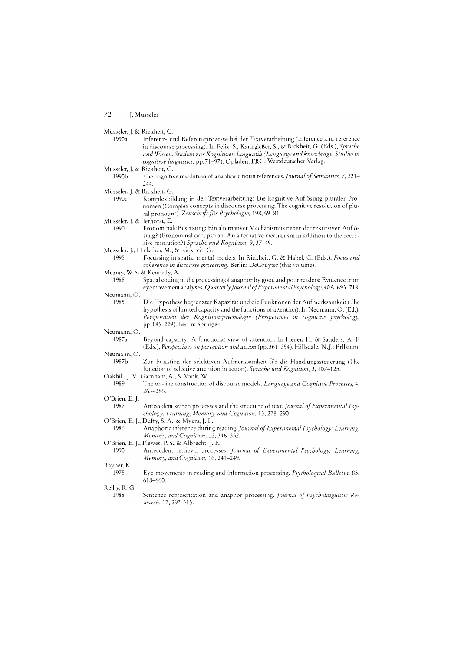Müsseler, J. & Rickheit, G.

1990a Inferenz- und Referenzprozesse bei der Textverarbeitung (Inference and reference in discourse processing). In Felix, S., Kanngießer, S., & Rickheit, G. (Eds.), Sprache und Wissen. Studien zur Kognitiven Linguistik (Language and knowledge. Studies in cognitive linguistics, pp.71-97). Opladen, FRG: Westdeutscher Verlag.

- 1990b The cognitive resolution of anaphoric noun references. Journal of Semantics, 7, 221-244
- Müsseler, J. & Rickheit, G.

1990c Komplexbildung in der Textverarbeitung: Die kognitive Auflösung pluraler Pronomen (Complex concepts in discourse processing: The cognitive resolution of plural pronouns). Zeitschrift für Psychologie, 198, 69-81.

- 1990 Pronominale Besetzung: Ein alternativer Mechanismus neben der rekursiven Auflösung? (Pronominal occupation: An alternative mechanism in addition to the recursive resolution?) Sprache und Kognition, 9, 37-49.
- Müsseler, J., Hielscher, M., & Rickheit, G.
	- 1995 Focussing in spatial mental models. In Rickheit, G. & Habel, C. (Eds.), Focus and coherence in discourse processing. Berlin: DeGruyter (this volume).
- Murray, W. S. & Kennedy, A.
	- 1988 Spatial coding in the processing of anaphor by good and poor readers: Evidence from eye movement analyses. Quarterly Journal of Experimental Psychology, 40A, 693-718.
- Neumann, O. 1985

Die Hypothese begrenzter Kapazität und die Funktionen der Aufmerksamkeit (The hypothesis of limited capacity and the functions of attention). In Neumann, O. (Ed.), Perspektiven der Kognitionspsychologie (Perspectives in cognitive psychology, pp. 185–229). Berlin: Springer.

Neumann, O

- Beyond capacity: A functional view of attention. In Heuer, H. & Sanders, A. F. 1987a (Eds.), Perspectives on perception and action (pp.361-394). Hillsdale, N.J.: Erlbaum. Neumann, O
	- 1987b Zur Funktion der selektiven Aufmerksamkeit für die Handlungssteuerung (The function of selective attention in action). Sprache und Kognition, 3, 107-125.

#### Oakhill, J.V., Garnham, A., & Vonk, W.

- 1989 The on-line construction of discourse models. Language and Cognitive Processes, 4,  $263 - 286$
- O'Brien, E. J.

1987 Antecedent search processes and the structure of text. Journal of Experimental Psychology: Learning, Memory, and Cognition, 13, 278-290.

O'Brien, E. J., Duffy, S. A., & Myers, J. L.

Anaphoric inference during reading. Journal of Experimental Psychology: Learning, 1986 Memory, and Cognition, 12, 346-352.

O'Brien, E. J., Plewes, P. S., & Albrecht, J. E.

1990 Antecedent retrieval processes. Journal of Experimental Psychology: Learning, Memory, and Cognition, 16, 241-249.

#### Rayner, K.

- 1978 Eye movements in reading and information processing. Psychological Bulletin, 85,  $618 - 660.$
- Reilly, R. G.
	- 1988 Sentence representation and anaphor processing. Journal of Psycholinguistic Research, 17, 297–315.

Müsseler, J. & Rickheit, G.

Müsseler, J. & Terhorst, E.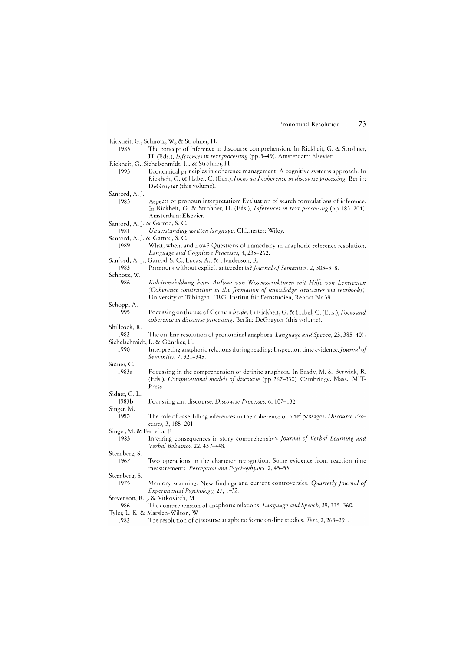|                           | Rickheit, G., Schnotz, W., & Strohner, H.                                                                                                                                                            |
|---------------------------|------------------------------------------------------------------------------------------------------------------------------------------------------------------------------------------------------|
| 1985                      | The concept of inference in discourse comprehension. In Rickheit, G. & Strohner,                                                                                                                     |
|                           | H. (Eds.), <i>Inferences in text processing</i> (pp. 3–49). Amsterdam: Elsevier.                                                                                                                     |
|                           | Rickheit, G., Sichelschmidt, L., & Strohner, H.                                                                                                                                                      |
| 1995                      | Economical principles in coherence management: A cognitive systems approach. In<br>Rickheit, G. & Habel, C. (Eds.), Focus and coherence in discourse processing. Berlin:<br>DeGruyter (this volume). |
| Sanford, A. J.            |                                                                                                                                                                                                      |
| 1985                      | Aspects of pronoun interpretation: Evaluation of search formulations of inference.<br>In Rickheit, G. & Strohner, H. (Eds.), Inferences in text processing (pp. 183-204).<br>Amsterdam: Elsevier.    |
|                           | Sanford, A. J. & Garrod, S. C.                                                                                                                                                                       |
| 1981                      | Understanding written language. Chichester: Wiley.                                                                                                                                                   |
|                           | Sanford, A. J. & Garrod, S. C.                                                                                                                                                                       |
| 1989                      | What, when, and how? Questions of immediacy in anaphoric reference resolution.                                                                                                                       |
|                           | Language and Cognitive Processes, 4, 235–262.                                                                                                                                                        |
|                           | Sanford, A. J., Garrod, S. C., Lucas, A., & Henderson, R.                                                                                                                                            |
| 1983<br>Schnotz, W.       | Pronouns without explicit antecedents? Journal of Semantics, 2, 303-318.                                                                                                                             |
| 1986                      | Kohärenzbildung beim Aufbau von Wissensstrukturen mit Hilfe von Lehrtexten                                                                                                                           |
|                           | (Coherence construction in the formation of knowledge structures via textbooks).<br>University of Tübingen, FRG: Institut für Fernstudien, Report Nr. 39.                                            |
| Schopp, A.                |                                                                                                                                                                                                      |
| 1995                      | Focussing on the use of German beide. In Rickheit, G. & Habel, C. (Eds.), Focus and<br>coherence in discourse processing. Berlin: DeGruyter (this volume).                                           |
| Shillcock, R.             |                                                                                                                                                                                                      |
| 1982                      | The on-line resolution of pronominal anaphora. <i>Language and Speech</i> , 25, 385–401.                                                                                                             |
|                           | Sichelschmidt, L. & Günther, U.                                                                                                                                                                      |
| 1990                      | Interpreting anaphoric relations during reading: Inspection time evidence. Journal of<br>Semantics, 7, 321-345.                                                                                      |
| Sidner, C.                |                                                                                                                                                                                                      |
| 1983a                     | Focussing in the comprehension of definite anaphora. In Brady, M. & Berwick, R.<br>(Eds.), Computational models of discourse (pp.267-330). Cambridge, Mass.: MIT-<br>Press.                          |
| Sidner, C. L.             |                                                                                                                                                                                                      |
| 1983b                     | Focussing and discourse. <i>Discourse Processes</i> , 6, 107–130.                                                                                                                                    |
| Singer, M.                |                                                                                                                                                                                                      |
| 1980                      | The role of case-filling inferences in the coherence of brief passages. Discourse Pro-<br>cesses, 3, 185-201.                                                                                        |
| Singer, M. & Ferreira, F. |                                                                                                                                                                                                      |
| 1983                      | Inferring consequences in story comprehension. Journal of Verbal Learning and<br>Verbal Behavior, 22, 437-448.                                                                                       |
| Sternberg, S.             |                                                                                                                                                                                                      |
| 1967                      | Two operations in the character recognition: Some evidence from reaction-time<br>measurements. Perception and Psychophysics, 2, 45–53.                                                               |
| Sternberg, S.             |                                                                                                                                                                                                      |
| 1975                      | Memory scanning: New findings and current controversies. Quarterly Journal of<br>Experimental Psychology, 27, 1-32.                                                                                  |
| 1986                      | Stevenson, R. J. & Vitkovitch, M.<br>The comprehension of anaphoric relations. <i>Language and Speech</i> , 29, 335–360.                                                                             |
|                           | Tyler, L. K. & Marslen-Wilson, W.                                                                                                                                                                    |

1982 The resolution of discourse anaphors: Some on-line studies. Text, 2, 263-291.